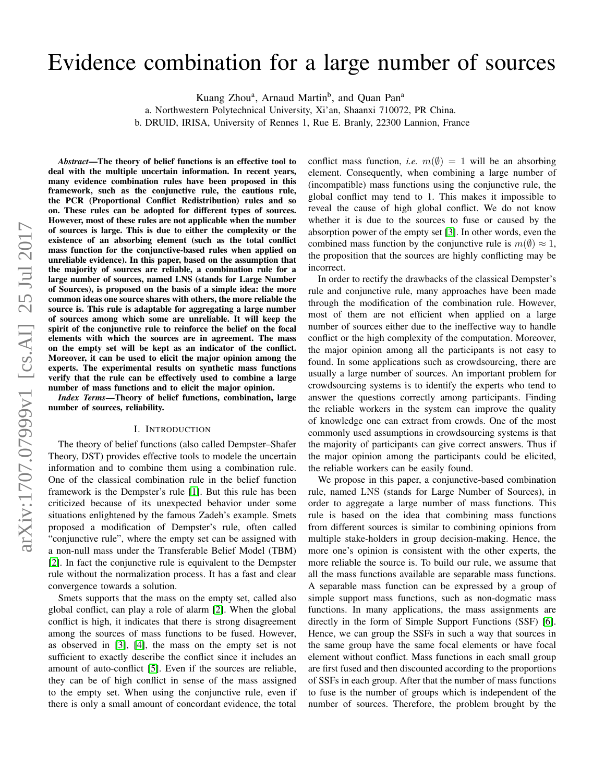# Evidence combination for a large number of sources

Kuang Zhou<sup>a</sup>, Arnaud Martin<sup>b</sup>, and Quan Pan<sup>a</sup>

a. Northwestern Polytechnical University, Xi'an, Shaanxi 710072, PR China.

b. DRUID, IRISA, University of Rennes 1, Rue E. Branly, 22300 Lannion, France

*Abstract*—The theory of belief functions is an effective tool to deal with the multiple uncertain information. In recent years, many evidence combination rules have been proposed in this framework, such as the conjunctive rule, the cautious rule, the PCR (Proportional Conflict Redistribution) rules and so on. These rules can be adopted for different types of sources. However, most of these rules are not applicable when the number of sources is large. This is due to either the complexity or the existence of an absorbing element (such as the total conflict mass function for the conjunctive-based rules when applied on unreliable evidence). In this paper, based on the assumption that the majority of sources are reliable, a combination rule for a large number of sources, named LNS (stands for Large Number of Sources), is proposed on the basis of a simple idea: the more common ideas one source shares with others, the more reliable the source is. This rule is adaptable for aggregating a large number of sources among which some are unreliable. It will keep the spirit of the conjunctive rule to reinforce the belief on the focal elements with which the sources are in agreement. The mass on the empty set will be kept as an indicator of the conflict. Moreover, it can be used to elicit the major opinion among the experts. The experimental results on synthetic mass functions verify that the rule can be effectively used to combine a large number of mass functions and to elicit the major opinion.

*Index Terms*—Theory of belief functions, combination, large number of sources, reliability.

#### I. INTRODUCTION

The theory of belief functions (also called Dempster–Shafer Theory, DST) provides effective tools to modele the uncertain information and to combine them using a combination rule. One of the classical combination rule in the belief function framework is the Dempster's rule [\[1\]](#page-7-0). But this rule has been criticized because of its unexpected behavior under some situations enlightened by the famous Zadeh's example. Smets proposed a modification of Dempster's rule, often called "conjunctive rule", where the empty set can be assigned with a non-null mass under the Transferable Belief Model (TBM) [\[2\]](#page-7-1). In fact the conjunctive rule is equivalent to the Dempster rule without the normalization process. It has a fast and clear convergence towards a solution.

Smets supports that the mass on the empty set, called also global conflict, can play a role of alarm [\[2\]](#page-7-1). When the global conflict is high, it indicates that there is strong disagreement among the sources of mass functions to be fused. However, as observed in [\[3\]](#page-7-2), [\[4\]](#page-7-3), the mass on the empty set is not sufficient to exactly describe the conflict since it includes an amount of auto-conflict [\[5\]](#page-7-4). Even if the sources are reliable, they can be of high conflict in sense of the mass assigned to the empty set. When using the conjunctive rule, even if there is only a small amount of concordant evidence, the total conflict mass function, *i.e.*  $m(\emptyset) = 1$  will be an absorbing element. Consequently, when combining a large number of (incompatible) mass functions using the conjunctive rule, the global conflict may tend to 1. This makes it impossible to reveal the cause of high global conflict. We do not know whether it is due to the sources to fuse or caused by the absorption power of the empty set [\[3\]](#page-7-2). In other words, even the combined mass function by the conjunctive rule is  $m(\emptyset) \approx 1$ , the proposition that the sources are highly conflicting may be incorrect.

In order to rectify the drawbacks of the classical Dempster's rule and conjunctive rule, many approaches have been made through the modification of the combination rule. However, most of them are not efficient when applied on a large number of sources either due to the ineffective way to handle conflict or the high complexity of the computation. Moreover, the major opinion among all the participants is not easy to found. In some applications such as crowdsourcing, there are usually a large number of sources. An important problem for crowdsourcing systems is to identify the experts who tend to answer the questions correctly among participants. Finding the reliable workers in the system can improve the quality of knowledge one can extract from crowds. One of the most commonly used assumptions in crowdsourcing systems is that the majority of participants can give correct answers. Thus if the major opinion among the participants could be elicited, the reliable workers can be easily found.

We propose in this paper, a conjunctive-based combination rule, named LNS (stands for Large Number of Sources), in order to aggregate a large number of mass functions. This rule is based on the idea that combining mass functions from different sources is similar to combining opinions from multiple stake-holders in group decision-making. Hence, the more one's opinion is consistent with the other experts, the more reliable the source is. To build our rule, we assume that all the mass functions available are separable mass functions. A separable mass function can be expressed by a group of simple support mass functions, such as non-dogmatic mass functions. In many applications, the mass assignments are directly in the form of Simple Support Functions (SSF) [\[6\]](#page-7-5). Hence, we can group the SSFs in such a way that sources in the same group have the same focal elements or have focal element without conflict. Mass functions in each small group are first fused and then discounted according to the proportions of SSFs in each group. After that the number of mass functions to fuse is the number of groups which is independent of the number of sources. Therefore, the problem brought by the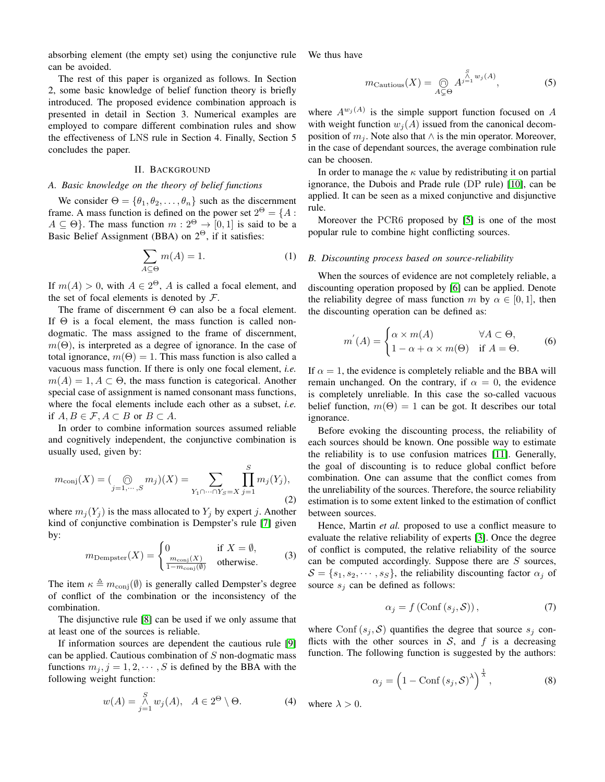absorbing element (the empty set) using the conjunctive rule can be avoided.

The rest of this paper is organized as follows. In Section 2, some basic knowledge of belief function theory is briefly introduced. The proposed evidence combination approach is presented in detail in Section 3. Numerical examples are employed to compare different combination rules and show the effectiveness of LNS rule in Section 4. Finally, Section 5 concludes the paper.

## II. BACKGROUND

## *A. Basic knowledge on the theory of belief functions*

We consider  $\Theta = {\theta_1, \theta_2, \dots, \theta_n}$  such as the discernment frame. A mass function is defined on the power set  $2^{\Theta} = \{A :$  $A \subseteq \Theta$ . The mass function  $m: 2^{\Theta} \to [0, 1]$  is said to be a Basic Belief Assignment (BBA) on  $2^{\Theta}$ , if it satisfies:

$$
\sum_{A \subseteq \Theta} m(A) = 1. \tag{1}
$$

If  $m(A) > 0$ , with  $A \in 2^{\Theta}$ , A is called a focal element, and the set of focal elements is denoted by  $\mathcal{F}$ .

The frame of discernment  $\Theta$  can also be a focal element. If  $\Theta$  is a focal element, the mass function is called nondogmatic. The mass assigned to the frame of discernment,  $m(\Theta)$ , is interpreted as a degree of ignorance. In the case of total ignorance,  $m(\Theta) = 1$ . This mass function is also called a vacuous mass function. If there is only one focal element, *i.e.*  $m(A) = 1, A \subset \Theta$ , the mass function is categorical. Another special case of assignment is named consonant mass functions, where the focal elements include each other as a subset, *i.e.* if  $A, B \in \mathcal{F}, A \subset B$  or  $B \subset A$ .

In order to combine information sources assumed reliable and cognitively independent, the conjunctive combination is usually used, given by:

$$
m_{\text{conj}}(X) = (\bigcirc_{j=1,\cdots,S} m_j)(X) = \sum_{Y_1 \cap \cdots \cap Y_S = X} \prod_{j=1}^S m_j(Y_j),
$$
\n(2)

where  $m_i(Y_i)$  is the mass allocated to  $Y_i$  by expert j. Another kind of conjunctive combination is Dempster's rule [\[7\]](#page-7-6) given by:

$$
m_{\text{Dempster}}(X) = \begin{cases} 0 & \text{if } X = \emptyset, \\ \frac{m_{\text{conj}}(X)}{1 - m_{\text{conj}}(\emptyset)} & \text{otherwise.} \end{cases}
$$
 (3)

The item  $\kappa \triangleq m_{\text{conj}}(\emptyset)$  is generally called Dempster's degree of conflict of the combination or the inconsistency of the combination.

The disjunctive rule [\[8\]](#page-7-7) can be used if we only assume that at least one of the sources is reliable.

If information sources are dependent the cautious rule [\[9\]](#page-7-8) can be applied. Cautious combination of  $S$  non-dogmatic mass functions  $m_j$ ,  $j = 1, 2, \dots, S$  is defined by the BBA with the following weight function:

$$
w(A) = \underset{j=1}{\overset{S}{\wedge}} w_j(A), \quad A \in 2^{\Theta} \setminus \Theta. \tag{4}
$$

We thus have

$$
m_{\text{Cautious}}(X) = \bigoplus_{A \subsetneq \Theta} A^{j=1}^{S} w_j(A), \tag{5}
$$

where  $A^{w_j(A)}$  is the simple support function focused on A with weight function  $w_i(A)$  issued from the canonical decomposition of  $m_j$ . Note also that  $\wedge$  is the min operator. Moreover, in the case of dependant sources, the average combination rule can be choosen.

In order to manage the  $\kappa$  value by redistributing it on partial ignorance, the Dubois and Prade rule (DP rule) [\[10\]](#page-7-9), can be applied. It can be seen as a mixed conjunctive and disjunctive rule.

Moreover the PCR6 proposed by [\[5\]](#page-7-4) is one of the most popular rule to combine hight conflicting sources.

#### <span id="page-1-0"></span>*B. Discounting process based on source-reliability*

When the sources of evidence are not completely reliable, a discounting operation proposed by [\[6\]](#page-7-5) can be applied. Denote the reliability degree of mass function m by  $\alpha \in [0,1]$ , then the discounting operation can be defined as:

$$
m^{'}(A) = \begin{cases} \alpha \times m(A) & \forall A \subset \Theta, \\ 1 - \alpha + \alpha \times m(\Theta) & \text{if } A = \Theta. \end{cases}
$$
 (6)

If  $\alpha = 1$ , the evidence is completely reliable and the BBA will remain unchanged. On the contrary, if  $\alpha = 0$ , the evidence is completely unreliable. In this case the so-called vacuous belief function,  $m(\Theta) = 1$  can be got. It describes our total ignorance.

Before evoking the discounting process, the reliability of each sources should be known. One possible way to estimate the reliability is to use confusion matrices [\[11\]](#page-7-10). Generally, the goal of discounting is to reduce global conflict before combination. One can assume that the conflict comes from the unreliability of the sources. Therefore, the source reliability estimation is to some extent linked to the estimation of conflict between sources.

Hence, Martin *et al.* proposed to use a conflict measure to evaluate the relative reliability of experts [\[3\]](#page-7-2). Once the degree of conflict is computed, the relative reliability of the source can be computed accordingly. Suppose there are  $S$  sources,  $S = \{s_1, s_2, \dots, s_S\}$ , the reliability discounting factor  $\alpha_i$  of source  $s_j$  can be defined as follows:

$$
\alpha_j = f\left(\text{Conf}\left(s_j, \mathcal{S}\right)\right),\tag{7}
$$

where Conf  $(s_i, \mathcal{S})$  quantifies the degree that source  $s_i$  conflicts with the other sources in  $S$ , and  $f$  is a decreasing function. The following function is suggested by the authors:

$$
\alpha_j = \left(1 - \text{Conf}(s_j, \mathcal{S})^{\lambda}\right)^{\frac{1}{\lambda}},\tag{8}
$$

where  $\lambda > 0$ .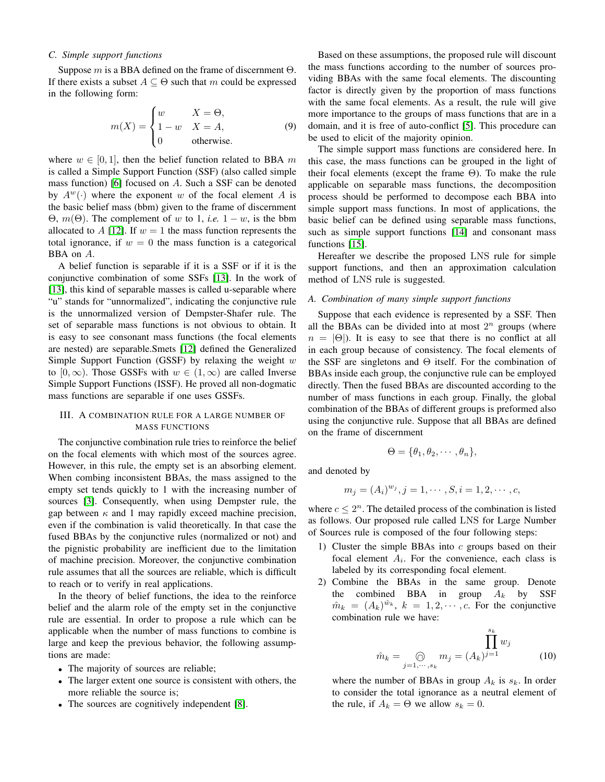# *C. Simple support functions*

Suppose m is a BBA defined on the frame of discernment  $\Theta$ . If there exists a subset  $A \subseteq \Theta$  such that m could be expressed in the following form:

$$
m(X) = \begin{cases} w & X = \Theta, \\ 1 - w & X = A, \\ 0 & \text{otherwise.} \end{cases}
$$
 (9)

where  $w \in [0, 1]$ , then the belief function related to BBA m is called a Simple Support Function (SSF) (also called simple mass function) [\[6\]](#page-7-5) focused on A. Such a SSF can be denoted by  $A^w(\cdot)$  where the exponent w of the focal element A is the basic belief mass (bbm) given to the frame of discernment Θ, m(Θ). The complement of w to 1, *i.e.* 1 − w, is the bbm allocated to A [\[12\]](#page-7-11). If  $w = 1$  the mass function represents the total ignorance, if  $w = 0$  the mass function is a categorical BBA on A.

A belief function is separable if it is a SSF or if it is the conjunctive combination of some SSFs [\[13\]](#page-7-12). In the work of [\[13\]](#page-7-12), this kind of separable masses is called u-separable where "u" stands for "unnormalized", indicating the conjunctive rule is the unnormalized version of Dempster-Shafer rule. The set of separable mass functions is not obvious to obtain. It is easy to see consonant mass functions (the focal elements are nested) are separable.Smets [\[12\]](#page-7-11) defined the Generalized Simple Support Function (GSSF) by relaxing the weight  $w$ to  $[0, \infty)$ . Those GSSFs with  $w \in (1, \infty)$  are called Inverse Simple Support Functions (ISSF). He proved all non-dogmatic mass functions are separable if one uses GSSFs.

# III. A COMBINATION RULE FOR A LARGE NUMBER OF MASS FUNCTIONS

The conjunctive combination rule tries to reinforce the belief on the focal elements with which most of the sources agree. However, in this rule, the empty set is an absorbing element. When combing inconsistent BBAs, the mass assigned to the empty set tends quickly to 1 with the increasing number of sources [\[3\]](#page-7-2). Consequently, when using Dempster rule, the gap between  $\kappa$  and 1 may rapidly exceed machine precision, even if the combination is valid theoretically. In that case the fused BBAs by the conjunctive rules (normalized or not) and the pignistic probability are inefficient due to the limitation of machine precision. Moreover, the conjunctive combination rule assumes that all the sources are reliable, which is difficult to reach or to verify in real applications.

In the theory of belief functions, the idea to the reinforce belief and the alarm role of the empty set in the conjunctive rule are essential. In order to propose a rule which can be applicable when the number of mass functions to combine is large and keep the previous behavior, the following assumptions are made:

- The majority of sources are reliable;
- The larger extent one source is consistent with others, the more reliable the source is;
- The sources are cognitively independent [\[8\]](#page-7-7).

Based on these assumptions, the proposed rule will discount the mass functions according to the number of sources providing BBAs with the same focal elements. The discounting factor is directly given by the proportion of mass functions with the same focal elements. As a result, the rule will give more importance to the groups of mass functions that are in a domain, and it is free of auto-conflict [\[5\]](#page-7-4). This procedure can be used to elicit of the majority opinion.

The simple support mass functions are considered here. In this case, the mass functions can be grouped in the light of their focal elements (except the frame Θ). To make the rule applicable on separable mass functions, the decomposition process should be performed to decompose each BBA into simple support mass functions. In most of applications, the basic belief can be defined using separable mass functions, such as simple support functions [\[14\]](#page-7-13) and consonant mass functions [\[15\]](#page-7-14).

Hereafter we describe the proposed LNS rule for simple support functions, and then an approximation calculation method of LNS rule is suggested.

### *A. Combination of many simple support functions*

Suppose that each evidence is represented by a SSF. Then all the BBAs can be divided into at most  $2<sup>n</sup>$  groups (where  $n = |\Theta|$ ). It is easy to see that there is no conflict at all in each group because of consistency. The focal elements of the SSF are singletons and Θ itself. For the combination of BBAs inside each group, the conjunctive rule can be employed directly. Then the fused BBAs are discounted according to the number of mass functions in each group. Finally, the global combination of the BBAs of different groups is preformed also using the conjunctive rule. Suppose that all BBAs are defined on the frame of discernment

$$
\Theta = \{\theta_1, \theta_2, \cdots, \theta_n\},\
$$

and denoted by

$$
m_j = (A_i)^{w_j}, j = 1, \cdots, S, i = 1, 2, \cdots, c,
$$

where  $c \leq 2^n$ . The detailed process of the combination is listed as follows. Our proposed rule called LNS for Large Number of Sources rule is composed of the four following steps:

- 1) Cluster the simple BBAs into  $c$  groups based on their focal element  $A_i$ . For the convenience, each class is labeled by its corresponding focal element.
- 2) Combine the BBAs in the same group. Denote the combined BBA in group  $A_k$  by SSF  $\hat{m}_k = (A_k)^{\hat{w}_k}, k = 1, 2, \cdots, c$ . For the conjunctive combination rule we have:

$$
\hat{m}_k = \bigodot_{j=1,\cdots,s_k} m_j = (A_k)^{j=1} w_j
$$
\n(10)

where the number of BBAs in group  $A_k$  is  $s_k$ . In order to consider the total ignorance as a neutral element of the rule, if  $A_k = \Theta$  we allow  $s_k = 0$ .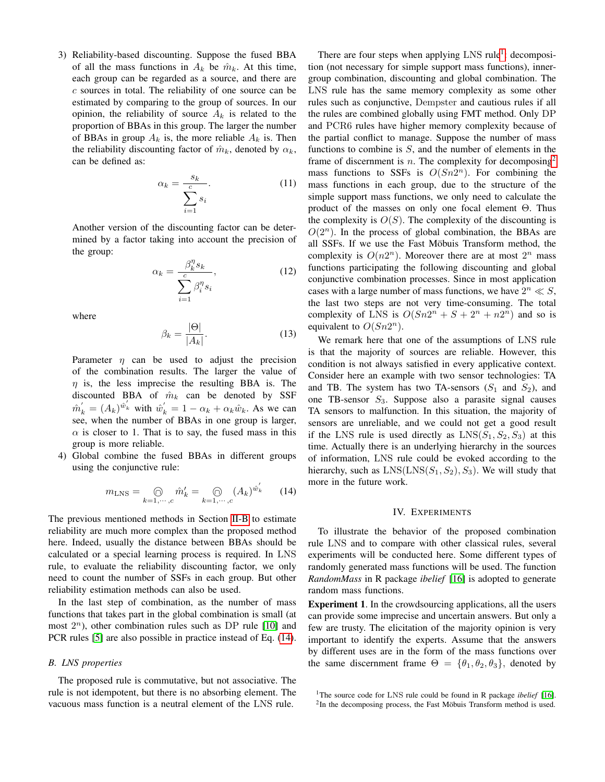3) Reliability-based discounting. Suppose the fused BBA of all the mass functions in  $A_k$  be  $\hat{m}_k$ . At this time, each group can be regarded as a source, and there are c sources in total. The reliability of one source can be estimated by comparing to the group of sources. In our opinion, the reliability of source  $A_k$  is related to the proportion of BBAs in this group. The larger the number of BBAs in group  $A_k$  is, the more reliable  $A_k$  is. Then the reliability discounting factor of  $\hat{m}_k$ , denoted by  $\alpha_k$ , can be defined as:

$$
\alpha_k = \frac{s_k}{\sum_{i=1}^c s_i}.
$$
\n(11)

Another version of the discounting factor can be determined by a factor taking into account the precision of the group:

$$
\alpha_k = \frac{\beta_k^{\eta} s_k}{\sum_{i=1}^c \beta_i^{\eta} s_i},\tag{12}
$$

where

$$
\beta_k = \frac{|\Theta|}{|A_k|}.\tag{13}
$$

Parameter  $\eta$  can be used to adjust the precision of the combination results. The larger the value of  $\eta$  is, the less imprecise the resulting BBA is. The discounted BBA of  $\hat{m}_k$  can be denoted by SSF  $\hat{m}'_k = (A_k)^{\hat{w}'_k}$  with  $\hat{w}'_k = 1 - \alpha_k + \alpha_k \hat{w}_k$ . As we can see, when the number of BBAs in one group is larger,  $\alpha$  is closer to 1. That is to say, the fused mass in this group is more reliable.

4) Global combine the fused BBAs in different groups using the conjunctive rule:

<span id="page-3-0"></span>
$$
m_{\text{LNS}} = \bigoplus_{k=1,\cdots,c} \hat{m}'_k = \bigoplus_{k=1,\cdots,c} (A_k)^{\hat{w}'_k} \qquad (14)
$$

The previous mentioned methods in Section [II-B](#page-1-0) to estimate reliability are much more complex than the proposed method here. Indeed, usually the distance between BBAs should be calculated or a special learning process is required. In LNS rule, to evaluate the reliability discounting factor, we only need to count the number of SSFs in each group. But other reliability estimation methods can also be used.

In the last step of combination, as the number of mass functions that takes part in the global combination is small (at most  $2^n$ ), other combination rules such as DP rule [\[10\]](#page-7-9) and PCR rules [\[5\]](#page-7-4) are also possible in practice instead of Eq. [\(14\)](#page-3-0).

#### *B. LNS properties*

The proposed rule is commutative, but not associative. The rule is not idempotent, but there is no absorbing element. The vacuous mass function is a neutral element of the LNS rule.

There are four steps when applying LNS rule<sup>[1](#page-3-1)</sup>: decomposition (not necessary for simple support mass functions), innergroup combination, discounting and global combination. The LNS rule has the same memory complexity as some other rules such as conjunctive, Dempster and cautious rules if all the rules are combined globally using FMT method. Only DP and PCR6 rules have higher memory complexity because of the partial conflict to manage. Suppose the number of mass functions to combine is S, and the number of elements in the frame of discernment is *n*. The complexity for decomposing<sup>[2](#page-3-2)</sup> mass functions to SSFs is  $O(Sn2^n)$ . For combining the mass functions in each group, due to the structure of the simple support mass functions, we only need to calculate the product of the masses on only one focal element Θ. Thus the complexity is  $O(S)$ . The complexity of the discounting is  $O(2<sup>n</sup>)$ . In the process of global combination, the BBAs are all SSFs. If we use the Fast Möbuis Transform method, the complexity is  $O(n2^n)$ . Moreover there are at most  $2^n$  mass functions participating the following discounting and global conjunctive combination processes. Since in most application cases with a large number of mass functions, we have  $2^n \ll S$ , the last two steps are not very time-consuming. The total complexity of LNS is  $O(Sn2^n + S + 2^n + n2^n)$  and so is equivalent to  $O(Sn2^n)$ .

We remark here that one of the assumptions of LNS rule is that the majority of sources are reliable. However, this condition is not always satisfied in every applicative context. Consider here an example with two sensor technologies: TA and TB. The system has two TA-sensors  $(S_1 \text{ and } S_2)$ , and one TB-sensor  $S_3$ . Suppose also a parasite signal causes TA sensors to malfunction. In this situation, the majority of sensors are unreliable, and we could not get a good result if the LNS rule is used directly as  $LNS(S_1, S_2, S_3)$  at this time. Actually there is an underlying hierarchy in the sources of information, LNS rule could be evoked according to the hierarchy, such as  $LNS(LNS(S_1, S_2), S_3)$ . We will study that more in the future work.

# IV. EXPERIMENTS

To illustrate the behavior of the proposed combination rule LNS and to compare with other classical rules, several experiments will be conducted here. Some different types of randomly generated mass functions will be used. The function *RandomMass* in R package *ibelief* [\[16\]](#page-7-15) is adopted to generate random mass functions.

Experiment 1. In the crowdsourcing applications, all the users can provide some imprecise and uncertain answers. But only a few are trusty. The elicitation of the majority opinion is very important to identify the experts. Assume that the answers by different uses are in the form of the mass functions over the same discernment frame  $\Theta = {\theta_1, \theta_2, \theta_3}$ , denoted by

<span id="page-3-1"></span><sup>&</sup>lt;sup>1</sup>The source code for LNS rule could be found in R package *ibelief* [\[16\]](#page-7-15).

<span id="page-3-2"></span> $2$ In the decomposing process, the Fast Möbuis Transform method is used.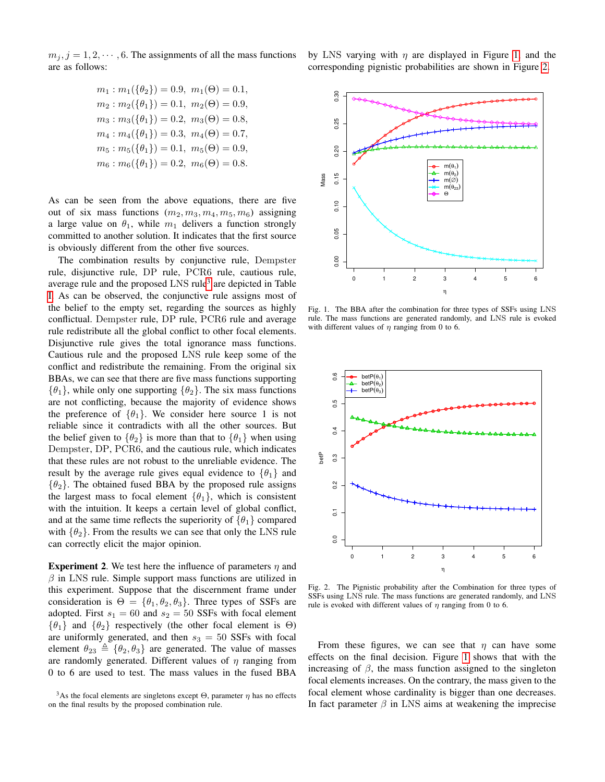$m_j$ ,  $j = 1, 2, \dots, 6$ . The assignments of all the mass functions are as follows:

$$
m_1: m_1({\theta_2}) = 0.9, m_1(\Theta) = 0.1,
$$
  
\n
$$
m_2: m_2({\theta_1}) = 0.1, m_2(\Theta) = 0.9,
$$
  
\n
$$
m_3: m_3({\theta_1}) = 0.2, m_3(\Theta) = 0.8,
$$
  
\n
$$
m_4: m_4({\theta_1}) = 0.3, m_4(\Theta) = 0.7,
$$
  
\n
$$
m_5: m_5({\theta_1}) = 0.1, m_5(\Theta) = 0.9,
$$
  
\n
$$
m_6: m_6({\theta_1}) = 0.2, m_6(\Theta) = 0.8.
$$

As can be seen from the above equations, there are five out of six mass functions  $(m_2, m_3, m_4, m_5, m_6)$  assigning a large value on  $\theta_1$ , while  $m_1$  delivers a function strongly committed to another solution. It indicates that the first source is obviously different from the other five sources.

The combination results by conjunctive rule, Dempster rule, disjunctive rule, DP rule, PCR6 rule, cautious rule, average rule and the proposed  $LNS$  rule<sup>[3](#page-4-0)</sup> are depicted in Table [I.](#page-5-0) As can be observed, the conjunctive rule assigns most of the belief to the empty set, regarding the sources as highly conflictual. Dempster rule, DP rule, PCR6 rule and average rule redistribute all the global conflict to other focal elements. Disjunctive rule gives the total ignorance mass functions. Cautious rule and the proposed LNS rule keep some of the conflict and redistribute the remaining. From the original six BBAs, we can see that there are five mass functions supporting  $\{\theta_1\}$ , while only one supporting  $\{\theta_2\}$ . The six mass functions are not conflicting, because the majority of evidence shows the preference of  $\{\theta_1\}$ . We consider here source 1 is not reliable since it contradicts with all the other sources. But the belief given to  $\{\theta_2\}$  is more than that to  $\{\theta_1\}$  when using Dempster, DP, PCR6, and the cautious rule, which indicates that these rules are not robust to the unreliable evidence. The result by the average rule gives equal evidence to  $\{\theta_1\}$  and  $\{\theta_2\}$ . The obtained fused BBA by the proposed rule assigns the largest mass to focal element  $\{\theta_1\}$ , which is consistent with the intuition. It keeps a certain level of global conflict, and at the same time reflects the superiority of  $\{\theta_1\}$  compared with  $\{\theta_2\}$ . From the results we can see that only the LNS rule can correctly elicit the major opinion.

**Experiment 2.** We test here the influence of parameters  $\eta$  and  $\beta$  in LNS rule. Simple support mass functions are utilized in this experiment. Suppose that the discernment frame under consideration is  $\Theta = {\theta_1, \theta_2, \theta_3}$ . Three types of SSFs are adopted. First  $s_1 = 60$  and  $s_2 = 50$  SSFs with focal element  $\{\theta_1\}$  and  $\{\theta_2\}$  respectively (the other focal element is  $\Theta$ ) are uniformly generated, and then  $s_3 = 50$  SSFs with focal element  $\theta_{23} \triangleq {\theta_2, \theta_3}$  are generated. The value of masses are randomly generated. Different values of  $\eta$  ranging from 0 to 6 are used to test. The mass values in the fused BBA

<span id="page-4-0"></span>

by LNS varying with  $\eta$  are displayed in Figure [1,](#page-4-1) and the corresponding pignistic probabilities are shown in Figure [2.](#page-4-2)



<span id="page-4-1"></span>Fig. 1. The BBA after the combination for three types of SSFs using LNS rule. The mass functions are generated randomly, and LNS rule is evoked with different values of  $\eta$  ranging from 0 to 6.



<span id="page-4-2"></span>Fig. 2. The Pignistic probability after the Combination for three types of SSFs using LNS rule. The mass functions are generated randomly, and LNS rule is evoked with different values of  $\eta$  ranging from 0 to 6.

From these figures, we can see that  $\eta$  can have some effects on the final decision. Figure [1](#page-4-1) shows that with the increasing of  $\beta$ , the mass function assigned to the singleton focal elements increases. On the contrary, the mass given to the focal element whose cardinality is bigger than one decreases. In fact parameter  $\beta$  in LNS aims at weakening the imprecise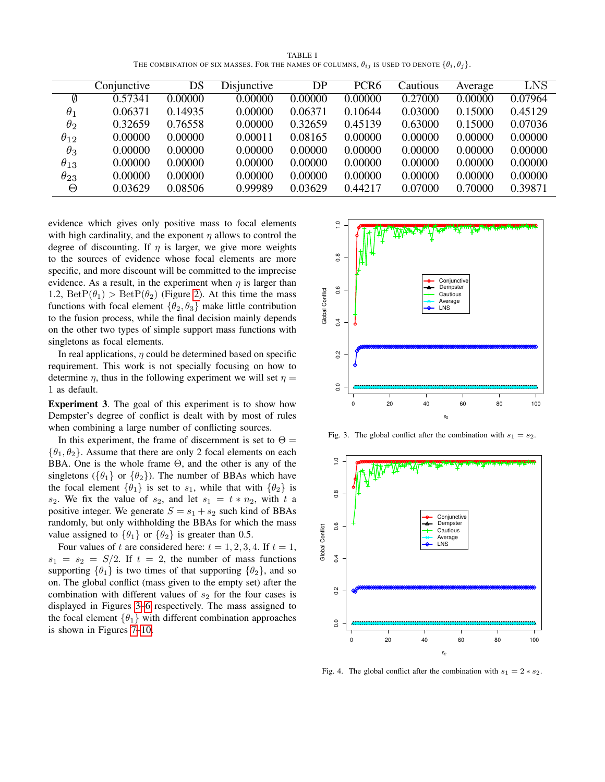TABLE I THE COMBINATION OF SIX MASSES. FOR THE NAMES OF COLUMNS,  $\theta_{ij}$  is used to denote  $\{\theta_i, \theta_j\}$ .

<span id="page-5-0"></span>

|               | Conjunctive | DS      | Disjunctive | DP      | PCR <sub>6</sub> | Cautious | Average | LNS     |
|---------------|-------------|---------|-------------|---------|------------------|----------|---------|---------|
| Ø             | 0.57341     | 0.00000 | 0.00000     | 0.00000 | 0.00000          | 0.27000  | 0.00000 | 0.07964 |
| $\theta_1$    | 0.06371     | 0.14935 | 0.00000     | 0.06371 | 0.10644          | 0.03000  | 0.15000 | 0.45129 |
| $\theta_2$    | 0.32659     | 0.76558 | 0.00000     | 0.32659 | 0.45139          | 0.63000  | 0.15000 | 0.07036 |
| $\theta_{12}$ | 0.00000     | 0.00000 | 0.00011     | 0.08165 | 0.00000          | 0.00000  | 0.00000 | 0.00000 |
| $\theta_3$    | 0.00000     | 0.00000 | 0.00000     | 0.00000 | 0.00000          | 0.00000  | 0.00000 | 0.00000 |
| $\theta_{13}$ | 0.00000     | 0.00000 | 0.00000     | 0.00000 | 0.00000          | 0.00000  | 0.00000 | 0.00000 |
| $\theta_{23}$ | 0.00000     | 0.00000 | 0.00000     | 0.00000 | 0.00000          | 0.00000  | 0.00000 | 0.00000 |
| $\Theta$      | 0.03629     | 0.08506 | 0.99989     | 0.03629 | 0.44217          | 0.07000  | 0.70000 | 0.39871 |

evidence which gives only positive mass to focal elements with high cardinality, and the exponent  $\eta$  allows to control the degree of discounting. If  $\eta$  is larger, we give more weights to the sources of evidence whose focal elements are more specific, and more discount will be committed to the imprecise evidence. As a result, in the experiment when  $\eta$  is larger than 1.2,  $\text{Det}P(\theta_1) > \text{Det}P(\theta_2)$  (Figure [2\)](#page-4-2). At this time the mass functions with focal element  $\{\theta_2, \theta_3\}$  make little contribution to the fusion process, while the final decision mainly depends on the other two types of simple support mass functions with singletons as focal elements.

In real applications,  $\eta$  could be determined based on specific requirement. This work is not specially focusing on how to determine  $\eta$ , thus in the following experiment we will set  $\eta =$ 1 as default.

Experiment 3. The goal of this experiment is to show how Dempster's degree of conflict is dealt with by most of rules when combining a large number of conflicting sources.

In this experiment, the frame of discernment is set to  $\Theta =$  $\{\theta_1, \theta_2\}$ . Assume that there are only 2 focal elements on each BBA. One is the whole frame  $\Theta$ , and the other is any of the singletons ( $\{\theta_1\}$  or  $\{\theta_2\}$ ). The number of BBAs which have the focal element  $\{\theta_1\}$  is set to  $s_1$ , while that with  $\{\theta_2\}$  is s<sub>2</sub>. We fix the value of s<sub>2</sub>, and let  $s_1 = t * n_2$ , with t a positive integer. We generate  $S = s_1 + s_2$  such kind of BBAs randomly, but only withholding the BBAs for which the mass value assigned to  $\{\theta_1\}$  or  $\{\theta_2\}$  is greater than 0.5.

Four values of t are considered here:  $t = 1, 2, 3, 4$ . If  $t = 1$ ,  $s_1 = s_2 = S/2$ . If  $t = 2$ , the number of mass functions supporting  $\{\theta_1\}$  is two times of that supporting  $\{\theta_2\}$ , and so on. The global conflict (mass given to the empty set) after the combination with different values of  $s_2$  for the four cases is displayed in Figures [3](#page-5-1)[–6](#page-6-0) respectively. The mass assigned to the focal element  $\{\theta_1\}$  with different combination approaches is shown in Figures [7–](#page-6-1)[10.](#page-7-16)



<span id="page-5-1"></span>Fig. 3. The global conflict after the combination with  $s_1 = s_2$ .



Fig. 4. The global conflict after the combination with  $s_1 = 2 * s_2$ .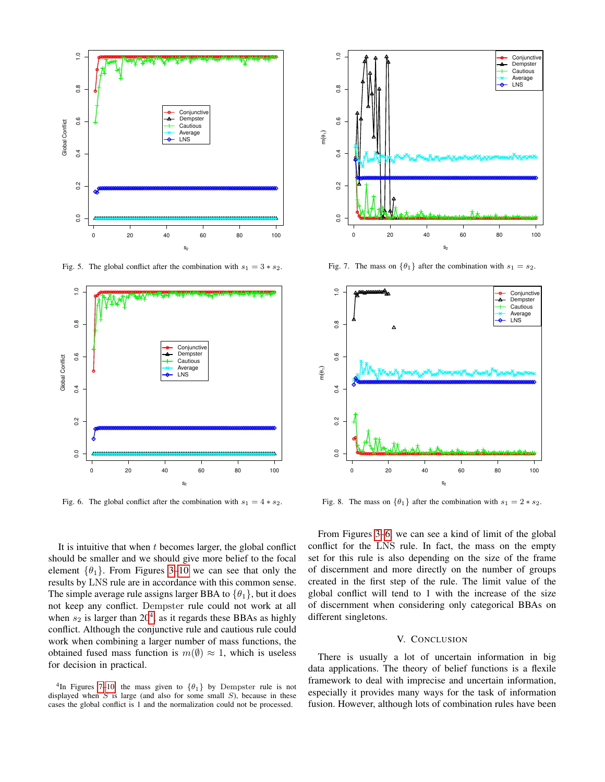

Fig. 5. The global conflict after the combination with  $s_1 = 3 * s_2$ .



<span id="page-6-0"></span>Fig. 6. The global conflict after the combination with  $s_1 = 4 * s_2$ .

It is intuitive that when  $t$  becomes larger, the global conflict should be smaller and we should give more belief to the focal element  $\{\theta_1\}$ . From Figures [3–](#page-5-1)[10](#page-7-16) we can see that only the results by LNS rule are in accordance with this common sense. The simple average rule assigns larger BBA to  $\{\theta_1\}$ , but it does not keep any conflict. Dempster rule could not work at all when  $s_2$  is larger than  $20^4$  $20^4$ , as it regards these BBAs as highly conflict. Although the conjunctive rule and cautious rule could work when combining a larger number of mass functions, the obtained fused mass function is  $m(\emptyset) \approx 1$ , which is useless for decision in practical.



<span id="page-6-1"></span>Fig. 7. The mass on  $\{\theta_1\}$  after the combination with  $s_1 = s_2$ .



Fig. 8. The mass on  $\{\theta_1\}$  after the combination with  $s_1 = 2 * s_2$ .

From Figures [3–](#page-5-1)[6,](#page-6-0) we can see a kind of limit of the global conflict for the LNS rule. In fact, the mass on the empty set for this rule is also depending on the size of the frame of discernment and more directly on the number of groups created in the first step of the rule. The limit value of the global conflict will tend to 1 with the increase of the size of discernment when considering only categorical BBAs on different singletons.

#### V. CONCLUSION

There is usually a lot of uncertain information in big data applications. The theory of belief functions is a flexile framework to deal with imprecise and uncertain information, especially it provides many ways for the task of information fusion. However, although lots of combination rules have been

<span id="page-6-2"></span><sup>&</sup>lt;sup>4</sup>In Figures [7–](#page-6-1)[10,](#page-7-16) the mass given to  $\{\theta_1\}$  by Dempster rule is not displayed when  $S$  is large (and also for some small  $S$ ), because in these cases the global conflict is 1 and the normalization could not be processed.